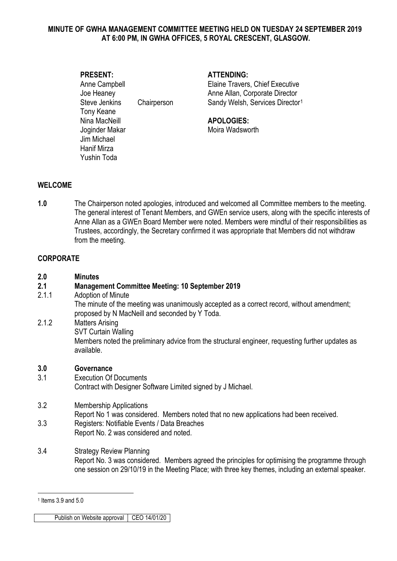### **MINUTE OF GWHA MANAGEMENT COMMITTEE MEETING HELD ON TUESDAY 24 SEPTEMBER 2019 AT 6:00 PM, IN GWHA OFFICES, 5 ROYAL CRESCENT, GLASGOW.**

Tony Keane Nina MacNeill **APOLOGIES:** Joginder Makar Machinese Moira Wadsworth Jim Michael Hanif Mirza Yushin Toda

### **PRESENT: ATTENDING:**

Anne Campbell **Elaine Travers, Chief Executive** Joe Heaney **Anne Allan, Corporate Director** Anne Allan, Corporate Director Steve Jenkins Chairperson Sandy Welsh, Services Director<sup>[1](#page-0-0)</sup>

## **WELCOME**

**1.0** The Chairperson noted apologies, introduced and welcomed all Committee members to the meeting. The general interest of Tenant Members, and GWEn service users, along with the specific interests of Anne Allan as a GWEn Board Member were noted. Members were mindful of their responsibilities as Trustees, accordingly, the Secretary confirmed it was appropriate that Members did not withdraw from the meeting.

## **CORPORATE**

## **2.0 Minutes**

- **2.1 Management Committee Meeting: 10 September 2019**
- 2.1.1 Adoption of Minute

The minute of the meeting was unanimously accepted as a correct record, without amendment; proposed by N MacNeill and seconded by Y Toda.

#### 2.1.2 Matters Arising SVT Curtain Walling

Members noted the preliminary advice from the structural engineer, requesting further updates as available.

## **3.0 Governance**

3.1 Execution Of Documents Contract with Designer Software Limited signed by J Michael.

# 3.2 Membership Applications

Report No 1 was considered. Members noted that no new applications had been received.

- 3.3 Registers: Notifiable Events / Data Breaches
- Report No. 2 was considered and noted.
- 3.4 Strategy Review Planning Report No. 3 was considered. Members agreed the principles for optimising the programme through one session on 29/10/19 in the Meeting Place; with three key themes, including an external speaker.

<span id="page-0-0"></span><sup>&</sup>lt;u>.</u> <sup>1</sup> Items 3.9 and 5.0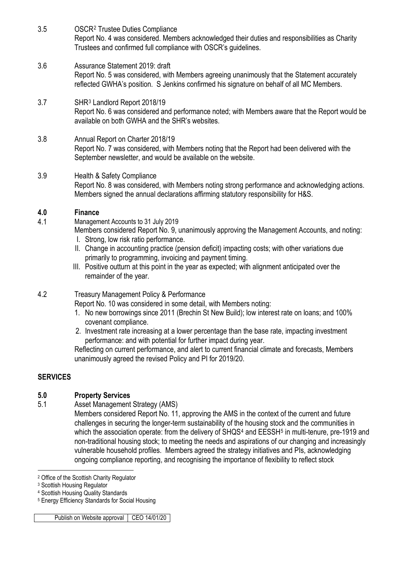3.5 OSCR[2](#page-1-0) Trustee Duties Compliance Report No. 4 was considered. Members acknowledged their duties and responsibilities as Charity Trustees and confirmed full compliance with OSCR's guidelines.

### 3.6 Assurance Statement 2019: draft Report No. 5 was considered, with Members agreeing unanimously that the Statement accurately reflected GWHA's position. S Jenkins confirmed his signature on behalf of all MC Members.

## 3.7 SHR[3](#page-1-1) Landlord Report 2018/19 Report No. 6 was considered and performance noted; with Members aware that the Report would be available on both GWHA and the SHR's websites.

## 3.8 Annual Report on Charter 2018/19

Report No. 7 was considered, with Members noting that the Report had been delivered with the September newsletter, and would be available on the website.

#### 3.9 Health & Safety Compliance Report No. 8 was considered, with Members noting strong performance and acknowledging actions. Members signed the annual declarations affirming statutory responsibility for H&S.

## **4.0 Finance**

- 4.1 Management Accounts to 31 July 2019
	- Members considered Report No. 9, unanimously approving the Management Accounts, and noting:
		- I. Strong, low risk ratio performance.
		- II. Change in accounting practice (pension deficit) impacting costs; with other variations due primarily to programming, invoicing and payment timing.
	- III. Positive outturn at this point in the year as expected; with alignment anticipated over the remainder of the year.

## 4.2 Treasury Management Policy & Performance

Report No. 10 was considered in some detail, with Members noting:

- 1. No new borrowings since 2011 (Brechin St New Build); low interest rate on loans; and 100% covenant compliance.
- 2. Investment rate increasing at a lower percentage than the base rate, impacting investment performance: and with potential for further impact during year.

Reflecting on current performance, and alert to current financial climate and forecasts, Members unanimously agreed the revised Policy and PI for 2019/20.

## **SERVICES**

## **5.0 Property Services**

5.1 Asset Management Strategy (AMS)

Members considered Report No. 11, approving the AMS in the context of the current and future challenges in securing the longer-term sustainability of the housing stock and the communities in which the association operate: from the delivery of SHQS<sup>[4](#page-1-2)</sup> and EESSH<sup>[5](#page-1-3)</sup> in multi-tenure, pre-1919 and non-traditional housing stock; to meeting the needs and aspirations of our changing and increasingly vulnerable household profiles. Members agreed the strategy initiatives and PIs, acknowledging ongoing compliance reporting, and recognising the importance of flexibility to reflect stock

<sup>&</sup>lt;u>.</u> <sup>2</sup> Office of the Scottish Charity Regulator

<span id="page-1-1"></span><span id="page-1-0"></span><sup>3</sup> Scottish Housing Regulator

<span id="page-1-2"></span><sup>4</sup> Scottish Housing Quality Standards

<span id="page-1-3"></span><sup>5</sup> Energy Efficiency Standards for Social Housing